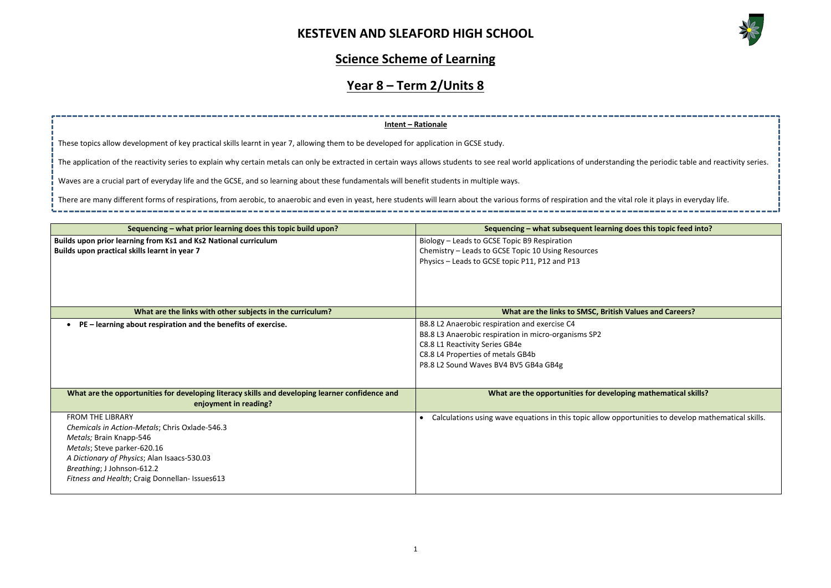

| ng the periodic table and reactivity series. |
|----------------------------------------------|
|                                              |
| al role it plays in everyday life.           |
|                                              |
| loes this topic feed into?                   |
|                                              |
|                                              |
|                                              |
|                                              |
|                                              |
| <b>Jalues and Careers?</b>                   |
|                                              |
|                                              |
|                                              |
|                                              |
|                                              |
|                                              |
| ng mathematical skills?                      |
| ortunities to develop mathematical skills.   |
|                                              |
|                                              |
|                                              |
|                                              |
|                                              |
|                                              |

### **Science Scheme of Learning**

# **Year 8 – Term 2/Units 8**

| Sequencing – what prior learning does this topic build upon?                                    | Sequencing - what subsequent learning does this topic feed into?                                    |
|-------------------------------------------------------------------------------------------------|-----------------------------------------------------------------------------------------------------|
| Builds upon prior learning from Ks1 and Ks2 National curriculum                                 | Biology - Leads to GCSE Topic B9 Respiration                                                        |
| Builds upon practical skills learnt in year 7                                                   | Chemistry - Leads to GCSE Topic 10 Using Resources                                                  |
|                                                                                                 | Physics - Leads to GCSE topic P11, P12 and P13                                                      |
|                                                                                                 |                                                                                                     |
|                                                                                                 |                                                                                                     |
|                                                                                                 |                                                                                                     |
|                                                                                                 |                                                                                                     |
| What are the links with other subjects in the curriculum?                                       | What are the links to SMSC, British Values and Careers?                                             |
| PE - learning about respiration and the benefits of exercise.                                   | B8.8 L2 Anaerobic respiration and exercise C4                                                       |
|                                                                                                 | B8.8 L3 Anaerobic respiration in micro-organisms SP2                                                |
|                                                                                                 | C8.8 L1 Reactivity Series GB4e                                                                      |
|                                                                                                 | C8.8 L4 Properties of metals GB4b                                                                   |
|                                                                                                 | P8.8 L2 Sound Waves BV4 BV5 GB4a GB4g                                                               |
|                                                                                                 |                                                                                                     |
| What are the opportunities for developing literacy skills and developing learner confidence and | What are the opportunities for developing mathematical skills?                                      |
| enjoyment in reading?                                                                           |                                                                                                     |
|                                                                                                 |                                                                                                     |
| <b>FROM THE LIBRARY</b>                                                                         | Calculations using wave equations in this topic allow opportunities to develop mathematical skills. |
| Chemicals in Action-Metals; Chris Oxlade-546.3                                                  |                                                                                                     |
| Metals; Brain Knapp-546                                                                         |                                                                                                     |
| Metals; Steve parker-620.16                                                                     |                                                                                                     |
| A Dictionary of Physics; Alan Isaacs-530.03                                                     |                                                                                                     |
| Breathing; J Johnson-612.2                                                                      |                                                                                                     |
| Fitness and Health; Craig Donnellan- Issues613                                                  |                                                                                                     |
|                                                                                                 |                                                                                                     |

**Intent – Rationale**

These topics allow development of key practical skills learnt in year 7, allowing them to be developed for application in GCSE study.

The application of the reactivity series to explain why certain metals can only be extracted in certain ways allows students to see real world applications of understandin

Waves are a crucial part of everyday life and the GCSE, and so learning about these fundamentals will benefit students in multiple ways.

There are many different forms of respirations, from aerobic, to anaerobic and even in yeast, here students will learn about the various forms of respiration and the vita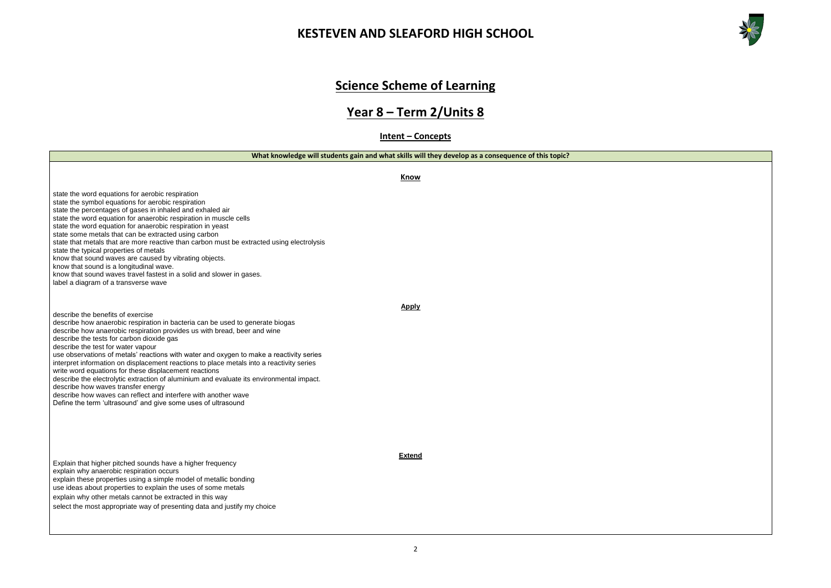



# **Science Scheme of Learning**

# **Year 8 – Term 2/Units 8**

**Intent – Concepts**

**What knowledge will students gain and what skills will they develop as a consequence of this topic?**

|                                                                                                                                                                                                                                                                                                                                                                                                                                                                                                                                                                                                                                                                                                                                                                                                        | <b>Know</b>   |
|--------------------------------------------------------------------------------------------------------------------------------------------------------------------------------------------------------------------------------------------------------------------------------------------------------------------------------------------------------------------------------------------------------------------------------------------------------------------------------------------------------------------------------------------------------------------------------------------------------------------------------------------------------------------------------------------------------------------------------------------------------------------------------------------------------|---------------|
| state the word equations for aerobic respiration<br>state the symbol equations for aerobic respiration<br>state the percentages of gases in inhaled and exhaled air<br>state the word equation for anaerobic respiration in muscle cells<br>state the word equation for anaerobic respiration in yeast<br>state some metals that can be extracted using carbon<br>state that metals that are more reactive than carbon must be extracted using electrolysis<br>state the typical properties of metals<br>know that sound waves are caused by vibrating objects.<br>know that sound is a longitudinal wave.<br>know that sound waves travel fastest in a solid and slower in gases.<br>label a diagram of a transverse wave                                                                             |               |
| describe the benefits of exercise<br>describe how anaerobic respiration in bacteria can be used to generate biogas<br>describe how anaerobic respiration provides us with bread, beer and wine<br>describe the tests for carbon dioxide gas<br>describe the test for water vapour<br>use observations of metals' reactions with water and oxygen to make a reactivity series<br>interpret information on displacement reactions to place metals into a reactivity series<br>write word equations for these displacement reactions<br>describe the electrolytic extraction of aluminium and evaluate its environmental impact.<br>describe how waves transfer energy<br>describe how waves can reflect and interfere with another wave<br>Define the term 'ultrasound' and give some uses of ultrasound | <b>Apply</b>  |
| Explain that higher pitched sounds have a higher frequency<br>explain why anaerobic respiration occurs<br>explain these properties using a simple model of metallic bonding<br>use ideas about properties to explain the uses of some metals<br>explain why other metals cannot be extracted in this way<br>select the most appropriate way of presenting data and justify my choice                                                                                                                                                                                                                                                                                                                                                                                                                   | <b>Extend</b> |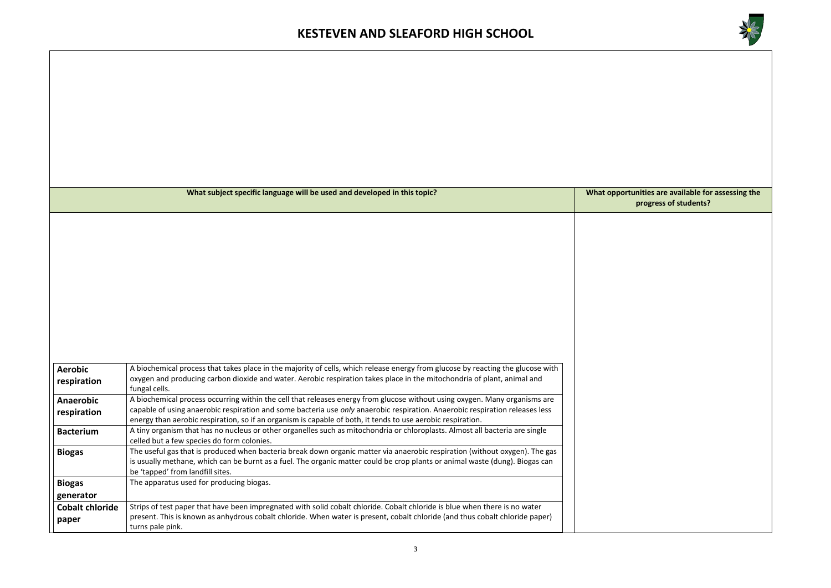

#### **What indust in be used with the value of the deptition in the state is to proport that progress of students?**

|                                 | What subject specific language will be used and developed in this topic?                                                                                                                                                                                                                                                                                                  | <b>What oppor</b> |
|---------------------------------|---------------------------------------------------------------------------------------------------------------------------------------------------------------------------------------------------------------------------------------------------------------------------------------------------------------------------------------------------------------------------|-------------------|
|                                 |                                                                                                                                                                                                                                                                                                                                                                           |                   |
| <b>Aerobic</b><br>respiration   | A biochemical process that takes place in the majority of cells, which release energy from glucose by reacting the glucose with<br>oxygen and producing carbon dioxide and water. Aerobic respiration takes place in the mitochondria of plant, animal and<br>fungal cells.                                                                                               |                   |
| Anaerobic<br>respiration        | A biochemical process occurring within the cell that releases energy from glucose without using oxygen. Many organisms are<br>capable of using anaerobic respiration and some bacteria use only anaerobic respiration. Anaerobic respiration releases less<br>energy than aerobic respiration, so if an organism is capable of both, it tends to use aerobic respiration. |                   |
| <b>Bacterium</b>                | A tiny organism that has no nucleus or other organelles such as mitochondria or chloroplasts. Almost all bacteria are single<br>celled but a few species do form colonies.                                                                                                                                                                                                |                   |
| <b>Biogas</b>                   | The useful gas that is produced when bacteria break down organic matter via anaerobic respiration (without oxygen). The gas<br>is usually methane, which can be burnt as a fuel. The organic matter could be crop plants or animal waste (dung). Biogas can<br>be 'tapped' from landfill sites.                                                                           |                   |
| <b>Biogas</b><br>generator      | The apparatus used for producing biogas.                                                                                                                                                                                                                                                                                                                                  |                   |
| <b>Cobalt chloride</b><br>paper | Strips of test paper that have been impregnated with solid cobalt chloride. Cobalt chloride is blue when there is no water<br>present. This is known as anhydrous cobalt chloride. When water is present, cobalt chloride (and thus cobalt chloride paper)<br>turns pale pink.                                                                                            |                   |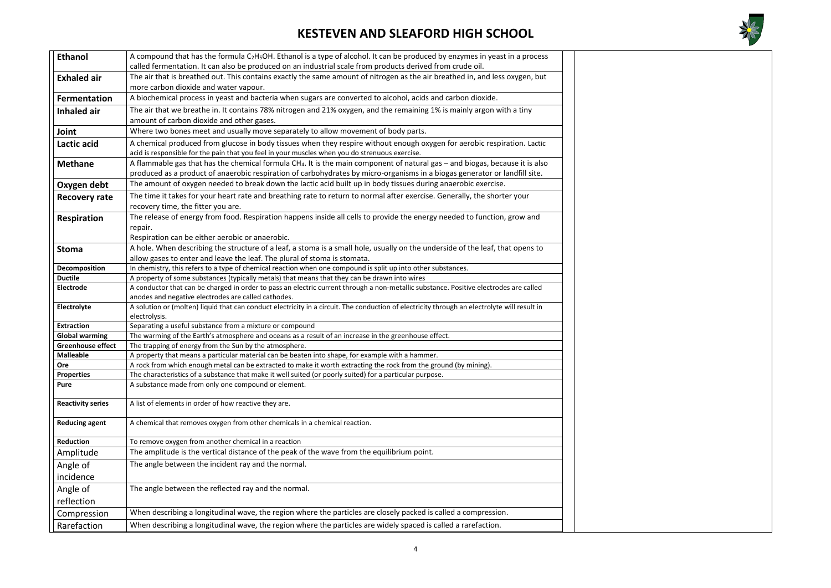

| <b>Ethanol</b>           | A compound that has the formula C <sub>2</sub> H <sub>5</sub> OH. Ethanol is a type of alcohol. It can be produced by enzymes in yeast in a process                                          |  |  |  |
|--------------------------|----------------------------------------------------------------------------------------------------------------------------------------------------------------------------------------------|--|--|--|
|                          | called fermentation. It can also be produced on an industrial scale from products derived from crude oil.                                                                                    |  |  |  |
| <b>Exhaled air</b>       | The air that is breathed out. This contains exactly the same amount of nitrogen as the air breathed in, and less oxygen, but                                                                 |  |  |  |
|                          | more carbon dioxide and water vapour.                                                                                                                                                        |  |  |  |
| <b>Fermentation</b>      | A biochemical process in yeast and bacteria when sugars are converted to alcohol, acids and carbon dioxide.                                                                                  |  |  |  |
| Inhaled air              | The air that we breathe in. It contains 78% nitrogen and 21% oxygen, and the remaining 1% is mainly argon with a tiny                                                                        |  |  |  |
|                          | amount of carbon dioxide and other gases.                                                                                                                                                    |  |  |  |
| Joint                    | Where two bones meet and usually move separately to allow movement of body parts.                                                                                                            |  |  |  |
| Lactic acid              | A chemical produced from glucose in body tissues when they respire without enough oxygen for aerobic respiration. Lactic                                                                     |  |  |  |
|                          | acid is responsible for the pain that you feel in your muscles when you do strenuous exercise.                                                                                               |  |  |  |
| <b>Methane</b>           | A flammable gas that has the chemical formula CH4. It is the main component of natural gas – and biogas, because it is also                                                                  |  |  |  |
|                          | produced as a product of anaerobic respiration of carbohydrates by micro-organisms in a biogas generator or landfill site.                                                                   |  |  |  |
| Oxygen debt              | The amount of oxygen needed to break down the lactic acid built up in body tissues during anaerobic exercise.                                                                                |  |  |  |
| <b>Recovery rate</b>     | The time it takes for your heart rate and breathing rate to return to normal after exercise. Generally, the shorter your                                                                     |  |  |  |
|                          | recovery time, the fitter you are.                                                                                                                                                           |  |  |  |
| Respiration              | The release of energy from food. Respiration happens inside all cells to provide the energy needed to function, grow and                                                                     |  |  |  |
|                          | repair.                                                                                                                                                                                      |  |  |  |
|                          | Respiration can be either aerobic or anaerobic.                                                                                                                                              |  |  |  |
| <b>Stoma</b>             | A hole. When describing the structure of a leaf, a stoma is a small hole, usually on the underside of the leaf, that opens to                                                                |  |  |  |
|                          | allow gases to enter and leave the leaf. The plural of stoma is stomata.                                                                                                                     |  |  |  |
| Decomposition            | In chemistry, this refers to a type of chemical reaction when one compound is split up into other substances.                                                                                |  |  |  |
| <b>Ductile</b>           | A property of some substances (typically metals) that means that they can be drawn into wires                                                                                                |  |  |  |
| <b>Electrode</b>         | A conductor that can be charged in order to pass an electric current through a non-metallic substance. Positive electrodes are called<br>anodes and negative electrodes are called cathodes. |  |  |  |
| Electrolyte              | A solution or (molten) liquid that can conduct electricity in a circuit. The conduction of electricity through an electrolyte will result in                                                 |  |  |  |
|                          | electrolysis.                                                                                                                                                                                |  |  |  |
| <b>Extraction</b>        | Separating a useful substance from a mixture or compound                                                                                                                                     |  |  |  |
| <b>Global warming</b>    | The warming of the Earth's atmosphere and oceans as a result of an increase in the greenhouse effect.                                                                                        |  |  |  |
| <b>Greenhouse effect</b> | The trapping of energy from the Sun by the atmosphere.                                                                                                                                       |  |  |  |
| <b>Malleable</b>         | A property that means a particular material can be beaten into shape, for example with a hammer.                                                                                             |  |  |  |
| <b>Ore</b>               | A rock from which enough metal can be extracted to make it worth extracting the rock from the ground (by mining).                                                                            |  |  |  |
| <b>Properties</b>        | The characteristics of a substance that make it well suited (or poorly suited) for a particular purpose.                                                                                     |  |  |  |
| <b>Pure</b>              | A substance made from only one compound or element.                                                                                                                                          |  |  |  |
| <b>Reactivity series</b> | A list of elements in order of how reactive they are.                                                                                                                                        |  |  |  |
|                          |                                                                                                                                                                                              |  |  |  |
| <b>Reducing agent</b>    | A chemical that removes oxygen from other chemicals in a chemical reaction.                                                                                                                  |  |  |  |
|                          |                                                                                                                                                                                              |  |  |  |
| <b>Reduction</b>         | To remove oxygen from another chemical in a reaction                                                                                                                                         |  |  |  |
| Amplitude                | The amplitude is the vertical distance of the peak of the wave from the equilibrium point.                                                                                                   |  |  |  |
| Angle of                 | The angle between the incident ray and the normal.                                                                                                                                           |  |  |  |
| incidence                |                                                                                                                                                                                              |  |  |  |
| Angle of                 | The angle between the reflected ray and the normal.                                                                                                                                          |  |  |  |
| reflection               |                                                                                                                                                                                              |  |  |  |
| Compression              | When describing a longitudinal wave, the region where the particles are closely packed is called a compression.                                                                              |  |  |  |
|                          |                                                                                                                                                                                              |  |  |  |
| Rarefaction              | When describing a longitudinal wave, the region where the particles are widely spaced is called a rarefaction.                                                                               |  |  |  |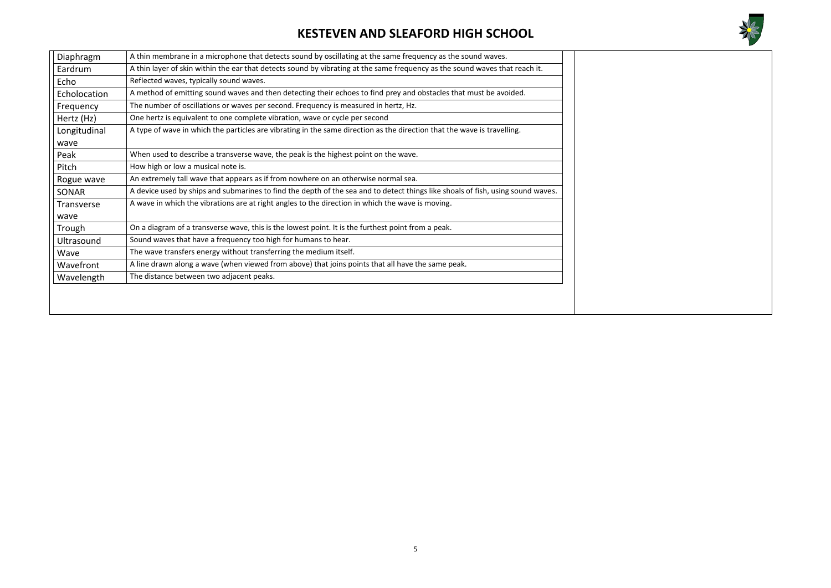

| Diaphragm         | A thin membrane in a microphone that detects sound by oscillating at the same frequency as the sound waves.                     |
|-------------------|---------------------------------------------------------------------------------------------------------------------------------|
| Eardrum           | A thin layer of skin within the ear that detects sound by vibrating at the same frequency as the sound waves that reach it.     |
| Echo              | Reflected waves, typically sound waves.                                                                                         |
| Echolocation      | A method of emitting sound waves and then detecting their echoes to find prey and obstacles that must be avoided.               |
| Frequency         | The number of oscillations or waves per second. Frequency is measured in hertz, Hz.                                             |
| Hertz (Hz)        | One hertz is equivalent to one complete vibration, wave or cycle per second                                                     |
| Longitudinal      | A type of wave in which the particles are vibrating in the same direction as the direction that the wave is travelling.         |
| wave              |                                                                                                                                 |
| Peak              | When used to describe a transverse wave, the peak is the highest point on the wave.                                             |
| Pitch             | How high or low a musical note is.                                                                                              |
| Rogue wave        | An extremely tall wave that appears as if from nowhere on an otherwise normal sea.                                              |
| <b>SONAR</b>      | A device used by ships and submarines to find the depth of the sea and to detect things like shoals of fish, using sound waves. |
| <b>Transverse</b> | A wave in which the vibrations are at right angles to the direction in which the wave is moving.                                |
| wave              |                                                                                                                                 |
| Trough            | On a diagram of a transverse wave, this is the lowest point. It is the furthest point from a peak.                              |
| Ultrasound        | Sound waves that have a frequency too high for humans to hear.                                                                  |
| Wave              | The wave transfers energy without transferring the medium itself.                                                               |
| Wavefront         | A line drawn along a wave (when viewed from above) that joins points that all have the same peak.                               |
| Wavelength        | The distance between two adjacent peaks.                                                                                        |
|                   |                                                                                                                                 |
|                   |                                                                                                                                 |
|                   |                                                                                                                                 |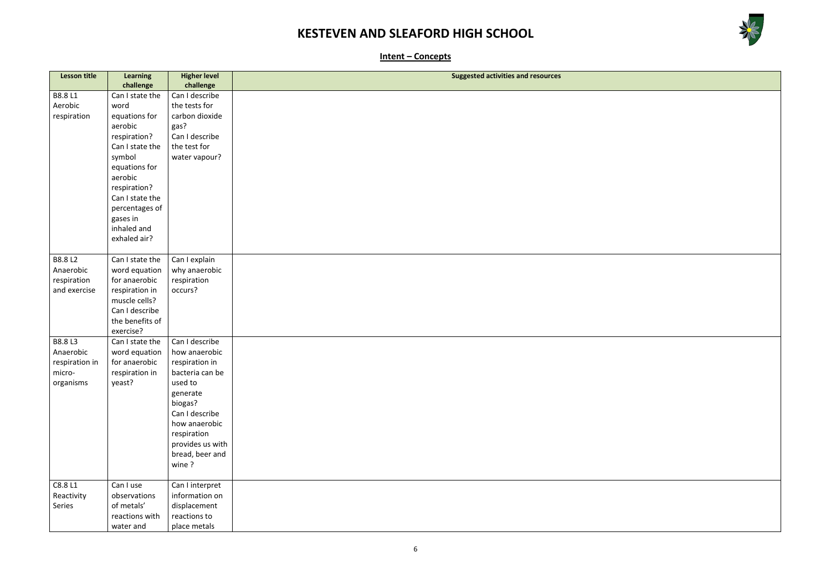

**Intent – Concepts**

| <b>Lesson title</b>      | <b>Learning</b>                | <b>Higher level</b>          | <b>Suggested activities and resources</b> |
|--------------------------|--------------------------------|------------------------------|-------------------------------------------|
|                          | challenge                      | challenge                    |                                           |
| B8.8 L1                  | Can I state the                | Can I describe               |                                           |
| Aerobic                  | word                           | the tests for                |                                           |
| respiration              | equations for                  | carbon dioxide               |                                           |
|                          | aerobic                        | gas?                         |                                           |
|                          | respiration?                   | Can I describe               |                                           |
|                          | Can I state the                | the test for                 |                                           |
|                          | symbol                         | water vapour?                |                                           |
|                          | equations for                  |                              |                                           |
|                          | aerobic                        |                              |                                           |
|                          | respiration?                   |                              |                                           |
|                          | Can I state the                |                              |                                           |
|                          | percentages of                 |                              |                                           |
|                          | gases in                       |                              |                                           |
|                          | inhaled and                    |                              |                                           |
|                          | exhaled air?                   |                              |                                           |
|                          |                                |                              |                                           |
| <b>B8.8 L2</b>           | Can I state the                | Can I explain                |                                           |
| Anaerobic<br>respiration | word equation<br>for anaerobic | why anaerobic<br>respiration |                                           |
| and exercise             | respiration in                 | occurs?                      |                                           |
|                          | muscle cells?                  |                              |                                           |
|                          | Can I describe                 |                              |                                           |
|                          | the benefits of                |                              |                                           |
|                          | exercise?                      |                              |                                           |
| B8.8 L3                  | Can I state the                | Can I describe               |                                           |
| Anaerobic                | word equation                  | how anaerobic                |                                           |
| respiration in           | for anaerobic                  | respiration in               |                                           |
| micro-                   | respiration in                 | bacteria can be              |                                           |
| organisms                | yeast?                         | used to                      |                                           |
|                          |                                | generate                     |                                           |
|                          |                                | biogas?                      |                                           |
|                          |                                | Can I describe               |                                           |
|                          |                                | how anaerobic                |                                           |
|                          |                                | respiration                  |                                           |
|                          |                                | provides us with             |                                           |
|                          |                                | bread, beer and              |                                           |
|                          |                                | wine?                        |                                           |
| C8.8 L1                  | Can I use                      | Can I interpret              |                                           |
| Reactivity               | observations                   | information on               |                                           |
| Series                   | of metals'                     | displacement                 |                                           |
|                          | reactions with                 | reactions to                 |                                           |
|                          | water and                      | place metals                 |                                           |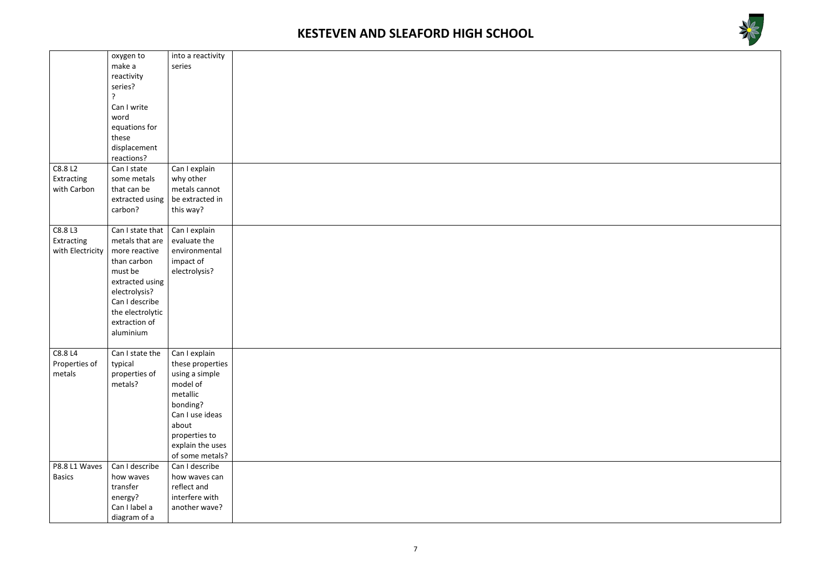

|                  | oxygen to        | into a reactivity |  |
|------------------|------------------|-------------------|--|
|                  | make a           | series            |  |
|                  | reactivity       |                   |  |
|                  | series?          |                   |  |
|                  | 7                |                   |  |
|                  | Can I write      |                   |  |
|                  | word             |                   |  |
|                  | equations for    |                   |  |
|                  | these            |                   |  |
|                  | displacement     |                   |  |
|                  | reactions?       |                   |  |
| C8.8 L2          | Can I state      | Can I explain     |  |
| Extracting       | some metals      | why other         |  |
| with Carbon      | that can be      | metals cannot     |  |
|                  | extracted using  | be extracted in   |  |
|                  | carbon?          | this way?         |  |
|                  |                  |                   |  |
| C8.8 L3          | Can I state that | Can I explain     |  |
| Extracting       | metals that are  | evaluate the      |  |
| with Electricity | more reactive    | environmental     |  |
|                  | than carbon      | impact of         |  |
|                  | must be          | electrolysis?     |  |
|                  | extracted using  |                   |  |
|                  | electrolysis?    |                   |  |
|                  | Can I describe   |                   |  |
|                  | the electrolytic |                   |  |
|                  | extraction of    |                   |  |
|                  | aluminium        |                   |  |
|                  |                  |                   |  |
| C8.8 L4          | Can I state the  | Can I explain     |  |
| Properties of    | typical          | these properties  |  |
| metals           | properties of    | using a simple    |  |
|                  | metals?          | model of          |  |
|                  |                  | metallic          |  |
|                  |                  | bonding?          |  |
|                  |                  | Can I use ideas   |  |
|                  |                  | about             |  |
|                  |                  | properties to     |  |
|                  |                  | explain the uses  |  |
|                  |                  | of some metals?   |  |
| P8.8 L1 Waves    | Can I describe   | Can I describe    |  |
| <b>Basics</b>    | how waves        | how waves can     |  |
|                  | transfer         | reflect and       |  |
|                  | energy?          | interfere with    |  |
|                  | Can I label a    | another wave?     |  |
|                  | diagram of a     |                   |  |